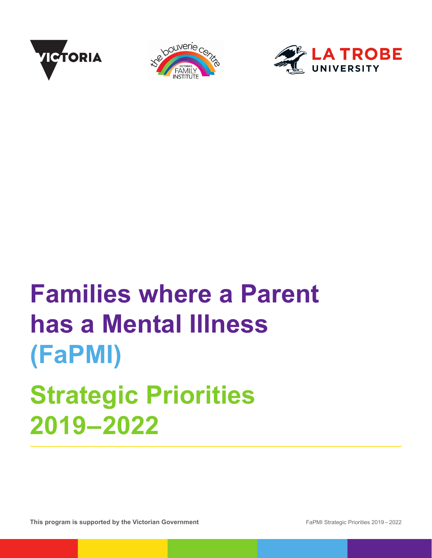





# **Families where a Parent has a Mental Illness (FaPMI)**

**Strategic Priorities 2019–2022**

**This program is supported by the Victorian Government**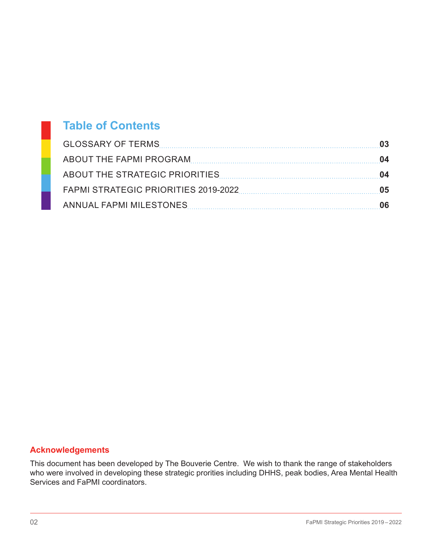### **Table of Contents**

| <b>GLOSSARY OF TERMS</b>             | 03 |
|--------------------------------------|----|
| ABOUT THE FAPMI PROGRAM              | 04 |
|                                      | 04 |
| FAPMI STRATEGIC PRIORITIES 2019-2022 | 05 |
| ANNUAL FAPMI MILESTONES              | 06 |

#### **Acknowledgements**

This document has been developed by The Bouverie Centre. We wish to thank the range of stakeholders who were involved in developing these strategic prorities including DHHS, peak bodies, Area Mental Health Services and FaPMI coordinators.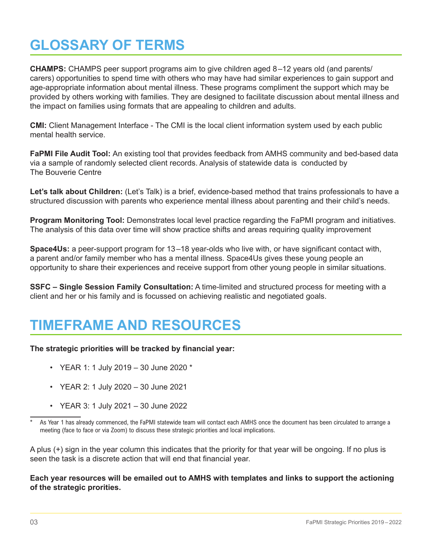# **GLOSSARY OF TERMS**

**CHAMPS:** CHAMPS peer support programs aim to give children aged 8–12 years old (and parents/ carers) opportunities to spend time with others who may have had similar experiences to gain support and age-appropriate information about mental illness. These programs compliment the support which may be provided by others working with families. They are designed to facilitate discussion about mental illness and the impact on families using formats that are appealing to children and adults.

**CMI:** Client Management Interface - The CMI is the local client information system used by each public mental health service.

**FaPMI File Audit Tool:** An existing tool that provides feedback from AMHS community and bed-based data via a sample of randomly selected client records. Analysis of statewide data is conducted by The Bouverie Centre

**Let's talk about Children:** (Let's Talk) is a brief, evidence-based method that trains professionals to have a structured discussion with parents who experience mental illness about parenting and their child's needs.

**Program Monitoring Tool:** Demonstrates local level practice regarding the FaPMI program and initiatives. The analysis of this data over time will show practice shifts and areas requiring quality improvement

**Space4Us:** a peer-support program for 13–18 year-olds who live with, or have significant contact with, a parent and/or family member who has a mental illness. Space4Us gives these young people an opportunity to share their experiences and receive support from other young people in similar situations.

**SSFC – Single Session Family Consultation:** A time-limited and structured process for meeting with a client and her or his family and is focussed on achieving realistic and negotiated goals.

# **TIMEFRAME AND RESOURCES**

#### **The strategic priorities will be tracked by financial year:**

- YEAR 1: 1 July 2019 30 June 2020 \*
- YEAR 2: 1 July 2020 30 June 2021
- YEAR 3: 1 July 2021 30 June 2022

A plus (+) sign in the year column this indicates that the priority for that year will be ongoing. If no plus is seen the task is a discrete action that will end that financial year.

**Each year resources will be emailed out to AMHS with templates and links to support the actioning of the strategic prorities.**

As Year 1 has already commenced, the FaPMI statewide team will contact each AMHS once the document has been circulated to arrange a meeting (face to face or via Zoom) to discuss these strategic priorities and local implications.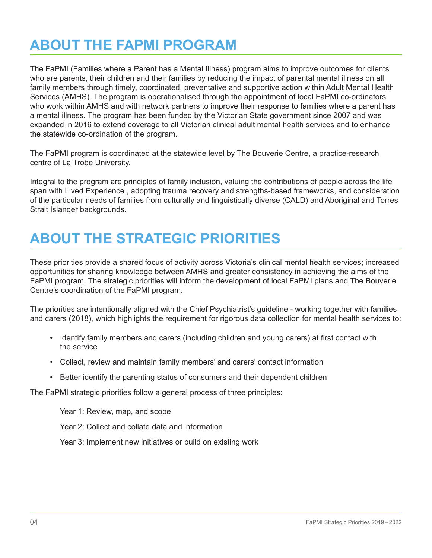# **ABOUT THE FAPMI PROGRAM**

The FaPMI (Families where a Parent has a Mental Illness) program aims to improve outcomes for clients who are parents, their children and their families by reducing the impact of parental mental illness on all family members through timely, coordinated, preventative and supportive action within Adult Mental Health Services (AMHS). The program is operationalised through the appointment of local FaPMI co-ordinators who work within AMHS and with network partners to improve their response to families where a parent has a mental illness. The program has been funded by the Victorian State government since 2007 and was expanded in 2016 to extend coverage to all Victorian clinical adult mental health services and to enhance the statewide co-ordination of the program.

The FaPMI program is coordinated at the statewide level by The Bouverie Centre, a practice-research centre of La Trobe University.

Integral to the program are principles of family inclusion, valuing the contributions of people across the life span with Lived Experience , adopting trauma recovery and strengths-based frameworks, and consideration of the particular needs of families from culturally and linguistically diverse (CALD) and Aboriginal and Torres Strait Islander backgrounds.

# **ABOUT THE STRATEGIC PRIORITIES**

These priorities provide a shared focus of activity across Victoria's clinical mental health services; increased opportunities for sharing knowledge between AMHS and greater consistency in achieving the aims of the FaPMI program. The strategic priorities will inform the development of local FaPMI plans and The Bouverie Centre's coordination of the FaPMI program.

The priorities are intentionally aligned with the Chief Psychiatrist's guideline - working together with families and carers (2018), which highlights the requirement for rigorous data collection for mental health services to:

- Identify family members and carers (including children and young carers) at first contact with the service
- Collect, review and maintain family members' and carers' contact information
- Better identify the parenting status of consumers and their dependent children

The FaPMI strategic priorities follow a general process of three principles:

Year 1: Review, map, and scope

- Year 2: Collect and collate data and information
- Year 3: Implement new initiatives or build on existing work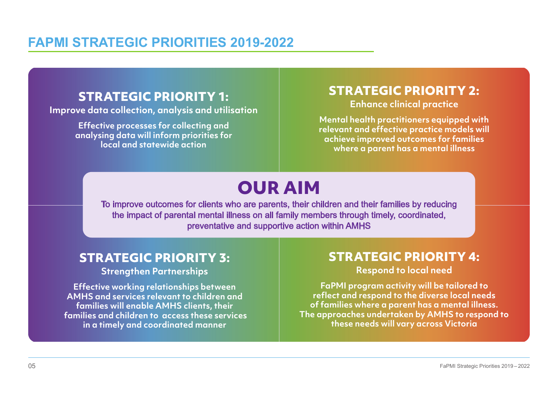# **FAPMI STRATEGIC PRIORITIES 2019-2022**

### **STRATEGIC PRIORITY 1:**

**Improve data collection, analysis and utilisation**

**Effective processes for collecting and analysing data will inform priorities for local and statewide action**

## **STRATEGIC PRIORITY 2:**

**Enhance clinical practice**

**Mental health practitioners equipped with relevant and effective practice models will achieve improved outcomes for families where a parent has a mental illness**

# **OUR AIM**

To improve outcomes for clients who are parents, their children and their families by reducing the impact of parental mental illness on all family members through timely, coordinated, preventative and supportive action within AMHS

# **STRATEGIC PRIORITY 3:**

**Strengthen Partnerships**

**Effective working relationships between AMHS and services relevant to children and families will enable AMHS clients, their families and children to access these services in a timely and coordinated manner**

### **STRATEGIC PRIORITY 4:**

**Respond to local need**

**FaPMI program activity will be tailored to reflect and respond to the diverse local needs of families where a parent has a mental illness. The approaches undertaken by AMHS to respond to these needs will vary across Victoria**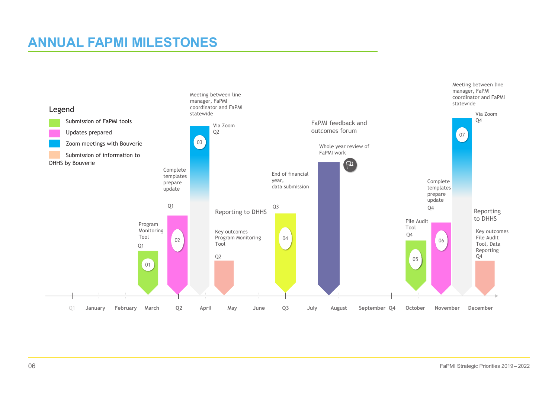# **ANNUAL FAPMI MILESTONES**

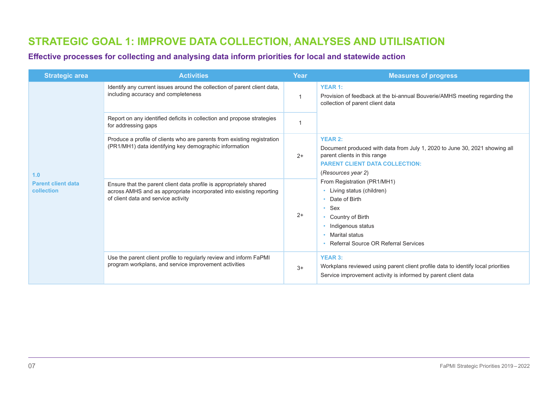### **STRATEGIC GOAL 1: IMPROVE DATA COLLECTION, ANALYSES AND UTILISATION**

#### **Effective processes for collecting and analysing data inform priorities for local and statewide action**

| <b>Strategic area</b>                          | <b>Activities</b>                                                                                                                                                                | Year           | <b>Measures of progress</b>                                                                                                                                                                 |
|------------------------------------------------|----------------------------------------------------------------------------------------------------------------------------------------------------------------------------------|----------------|---------------------------------------------------------------------------------------------------------------------------------------------------------------------------------------------|
|                                                | Identify any current issues around the collection of parent client data,<br>including accuracy and completeness                                                                  | $\overline{1}$ | <b>YEAR 1:</b><br>Provision of feedback at the bi-annual Bouverie/AMHS meeting regarding the<br>collection of parent client data                                                            |
|                                                | Report on any identified deficits in collection and propose strategies<br>for addressing gaps                                                                                    | $\overline{1}$ |                                                                                                                                                                                             |
| 1.0<br><b>Parent client data</b><br>collection | Produce a profile of clients who are parents from existing registration<br>(PR1/MH1) data identifying key demographic information                                                | $2+$           | <b>YEAR 2:</b><br>Document produced with data from July 1, 2020 to June 30, 2021 showing all<br>parent clients in this range<br><b>PARENT CLIENT DATA COLLECTION:</b><br>(Resources year 2) |
|                                                | Ensure that the parent client data profile is appropriately shared<br>across AMHS and as appropriate incorporated into existing reporting<br>of client data and service activity | $2+$           | From Registration (PR1/MH1)<br>Living status (children)<br>• Date of Birth<br>Sex<br>٠<br>Country of Birth<br>Indigenous status<br>Marital status<br>• Referral Source OR Referral Services |
|                                                | Use the parent client profile to regularly review and inform FaPMI<br>program workplans, and service improvement activities                                                      | $3+$           | <b>YEAR 3:</b><br>Workplans reviewed using parent client profile data to identify local priorities<br>Service improvement activity is informed by parent client data                        |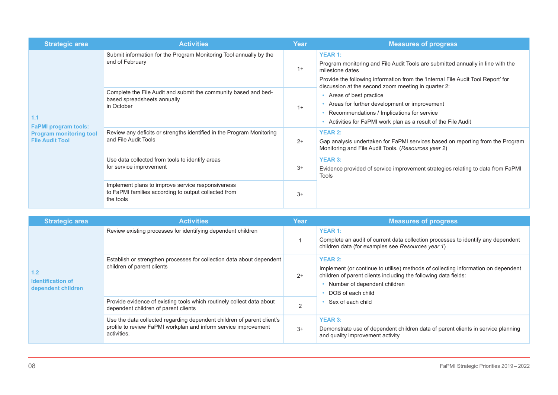| <b>Strategic area</b>                                                                          | <b>Activities</b>                                                                                                      | Year | <b>Measures of progress</b>                                                                                                                                                                                                                                     |
|------------------------------------------------------------------------------------------------|------------------------------------------------------------------------------------------------------------------------|------|-----------------------------------------------------------------------------------------------------------------------------------------------------------------------------------------------------------------------------------------------------------------|
| 1.1<br><b>FaPMI program tools:</b><br><b>Program monitoring tool</b><br><b>File Audit Tool</b> | Submit information for the Program Monitoring Tool annually by the<br>end of February                                  | $1+$ | <b>YEAR 1:</b><br>Program monitoring and File Audit Tools are submitted annually in line with the<br>milestone dates<br>Provide the following information from the 'Internal File Audit Tool Report' for<br>discussion at the second zoom meeting in quarter 2: |
|                                                                                                | Complete the File Audit and submit the community based and bed-<br>based spreadsheets annually<br>in October           | $1+$ | Areas of best practice<br>Areas for further development or improvement<br>Recommendations / Implications for service<br>Activities for FaPMI work plan as a result of the File Audit                                                                            |
|                                                                                                | Review any deficits or strengths identified in the Program Monitoring<br>and File Audit Tools                          | $2+$ | <b>YEAR 2:</b><br>Gap analysis undertaken for FaPMI services based on reporting from the Program<br>Monitoring and File Audit Tools. (Resources year 2)                                                                                                         |
|                                                                                                | Use data collected from tools to identify areas<br>for service improvement                                             | $3+$ | <b>YEAR 3:</b><br>Evidence provided of service improvement strategies relating to data from FaPMI<br><b>Tools</b>                                                                                                                                               |
|                                                                                                | Implement plans to improve service responsiveness<br>to FaPMI families according to output collected from<br>the tools | $3+$ |                                                                                                                                                                                                                                                                 |

| <b>Strategic area</b>                                 | <b>Activities</b>                                                                                                                                        | Year | <b>Measures of progress</b>                                                                                                                                                                                                 |
|-------------------------------------------------------|----------------------------------------------------------------------------------------------------------------------------------------------------------|------|-----------------------------------------------------------------------------------------------------------------------------------------------------------------------------------------------------------------------------|
| 1.2<br><b>Identification of</b><br>dependent children | Review existing processes for identifying dependent children                                                                                             |      | <b>YEAR 1:</b><br>Complete an audit of current data collection processes to identify any dependent<br>children data (for examples see Resources year 1)                                                                     |
|                                                       | Establish or strengthen processes for collection data about dependent<br>children of parent clients                                                      | $2+$ | <b>YEAR 2:</b><br>Implement (or continue to utilise) methods of collecting information on dependent<br>children of parent clients including the following data fields:<br>Number of dependent children<br>DOB of each child |
|                                                       | Provide evidence of existing tools which routinely collect data about<br>dependent children of parent clients                                            | 2    | Sex of each child                                                                                                                                                                                                           |
|                                                       | Use the data collected regarding dependent children of parent client's<br>profile to review FaPMI workplan and inform service improvement<br>activities. | $3+$ | <b>YEAR 3:</b><br>Demonstrate use of dependent children data of parent clients in service planning<br>and quality improvement activity                                                                                      |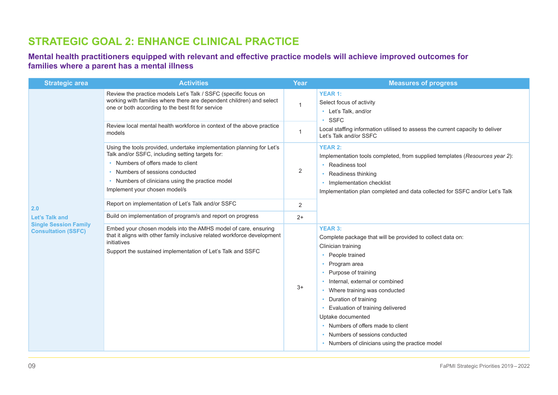### **STRATEGIC GOAL 2: ENHANCE CLINICAL PRACTICE**

#### **Mental health practitioners equipped with relevant and effective practice models will achieve improved outcomes for families where a parent has a mental illness**

| <b>Strategic area</b>                                      | <b>Activities</b>                                                                                                                                                                                                                                                                       | <b>Year</b>    | <b>Measures of progress</b>                                                                                                                                                                                                                                                                                                                                                                                                                     |
|------------------------------------------------------------|-----------------------------------------------------------------------------------------------------------------------------------------------------------------------------------------------------------------------------------------------------------------------------------------|----------------|-------------------------------------------------------------------------------------------------------------------------------------------------------------------------------------------------------------------------------------------------------------------------------------------------------------------------------------------------------------------------------------------------------------------------------------------------|
|                                                            | Review the practice models Let's Talk / SSFC (specific focus on<br>working with families where there are dependent children) and select<br>one or both according to the best fit for service                                                                                            | $\mathbf{1}$   | <b>YEAR 1:</b><br>Select focus of activity<br>• Let's Talk, and/or<br><b>SSFC</b>                                                                                                                                                                                                                                                                                                                                                               |
|                                                            | Review local mental health workforce in context of the above practice<br>models                                                                                                                                                                                                         | 1              | Local staffing information utilised to assess the current capacity to deliver<br>Let's Talk and/or SSFC                                                                                                                                                                                                                                                                                                                                         |
|                                                            | Using the tools provided, undertake implementation planning for Let's<br>Talk and/or SSFC, including setting targets for:<br>• Numbers of offers made to client<br>• Numbers of sessions conducted<br>• Numbers of clinicians using the practice model<br>Implement your chosen model/s | $\overline{2}$ | <b>YEAR 2:</b><br>Implementation tools completed, from supplied templates (Resources year 2):<br>• Readiness tool<br>Readiness thinking<br>• Implementation checklist<br>Implementation plan completed and data collected for SSFC and/or Let's Talk                                                                                                                                                                                            |
| 2.0                                                        | Report on implementation of Let's Talk and/or SSFC                                                                                                                                                                                                                                      | $\overline{2}$ |                                                                                                                                                                                                                                                                                                                                                                                                                                                 |
| Let's Talk and                                             | Build on implementation of program/s and report on progress                                                                                                                                                                                                                             | $2+$           |                                                                                                                                                                                                                                                                                                                                                                                                                                                 |
| <b>Single Session Family</b><br><b>Consultation (SSFC)</b> | Embed your chosen models into the AMHS model of care, ensuring<br>that it aligns with other family inclusive related workforce development<br>initiatives<br>Support the sustained implementation of Let's Talk and SSFC                                                                | $3+$           | <b>YEAR 3:</b><br>Complete package that will be provided to collect data on:<br>Clinician training<br>People trained<br>Program area<br>• Purpose of training<br>• Internal, external or combined<br>• Where training was conducted<br>Duration of training<br>Evaluation of training delivered<br>Uptake documented<br>Numbers of offers made to client<br>• Numbers of sessions conducted<br>• Numbers of clinicians using the practice model |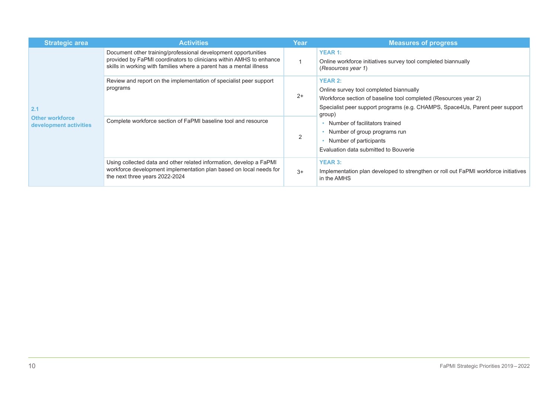| <b>Strategic area</b>                                   | <b>Activities</b>                                                                                                                                                                                            | Year           | <b>Measures of progress</b>                                                                                                                                                                                                                                                                                                                                 |
|---------------------------------------------------------|--------------------------------------------------------------------------------------------------------------------------------------------------------------------------------------------------------------|----------------|-------------------------------------------------------------------------------------------------------------------------------------------------------------------------------------------------------------------------------------------------------------------------------------------------------------------------------------------------------------|
| 2.1<br><b>Other workforce</b><br>development activities | Document other training/professional development opportunities<br>provided by FaPMI coordinators to clinicians within AMHS to enhance<br>skills in working with families where a parent has a mental illness |                | <b>YEAR 1:</b><br>Online workforce initiatives survey tool completed biannually<br>(Resources year 1)                                                                                                                                                                                                                                                       |
|                                                         | Review and report on the implementation of specialist peer support<br>programs                                                                                                                               | $2+$           | <b>YEAR 2:</b><br>Online survey tool completed biannually<br>Workforce section of baseline tool completed (Resources year 2)<br>Specialist peer support programs (e.g. CHAMPS, Space4Us, Parent peer support<br>group)<br>Number of facilitators trained<br>Number of group programs run<br>Number of participants<br>Evaluation data submitted to Bouverie |
|                                                         | Complete workforce section of FaPMI baseline tool and resource                                                                                                                                               | $\overline{2}$ |                                                                                                                                                                                                                                                                                                                                                             |
|                                                         | Using collected data and other related information, develop a FaPMI<br>workforce development implementation plan based on local needs for<br>the next three years 2022-2024                                  | $3+$           | <b>YEAR 3:</b><br>Implementation plan developed to strengthen or roll out FaPMI workforce initiatives<br>in the AMHS                                                                                                                                                                                                                                        |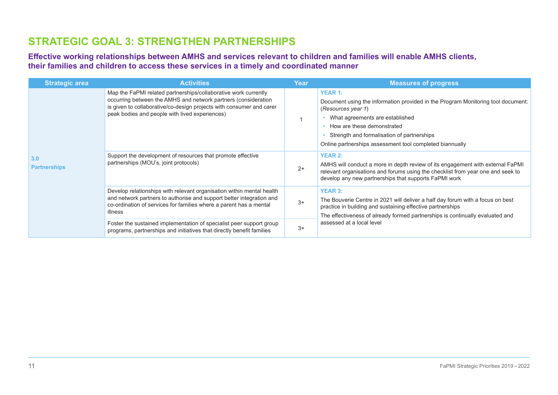### **STRATEGIC GOAL 3: STRENGTHEN PARTNERSHIPS**

#### **Effective working relationships between AMHS and services relevant to children and families will enable AMHS clients, their families and children to access these services in a timely and coordinated manner**

| <b>Strategic area</b>      | <b>Activities</b>                                                                                                                                                                                                                                           | Year | <b>Measures of progress</b>                                                                                                                                                                                                                                                                         |
|----------------------------|-------------------------------------------------------------------------------------------------------------------------------------------------------------------------------------------------------------------------------------------------------------|------|-----------------------------------------------------------------------------------------------------------------------------------------------------------------------------------------------------------------------------------------------------------------------------------------------------|
| 3.0<br><b>Partnerships</b> | Map the FaPMI related partnerships/collaborative work currently<br>occurring between the AMHS and network partners (consideration<br>is given to collaborative/co-design projects with consumer and carer<br>peak bodies and people with lived experiences) |      | <b>YEAR 1:</b><br>Document using the information provided in the Program Monitoring tool document:<br>(Resources year 1)<br>What agreements are established<br>How are these demonstrated<br>Strength and formalisation of partnerships<br>Online partnerships assessment tool completed biannually |
|                            | Support the development of resources that promote effective<br>partnerships (MOU's, joint protocols)                                                                                                                                                        | $2+$ | <b>YEAR 2:</b><br>AMHS will conduct a more in depth review of its engagement with external FaPMI<br>relevant organisations and forums using the checklist from year one and seek to<br>develop any new partnerships that supports FaPMI work                                                        |
|                            | Develop relationships with relevant organisation within mental health<br>and network partners to authorise and support better integration and<br>co-ordination of services for families where a parent has a mental<br>illness                              | $3+$ | <b>YEAR 3:</b><br>The Bouverie Centre in 2021 will deliver a half day forum with a focus on best<br>practice in building and sustaining effective partnerships<br>The effectiveness of already formed partnerships is continually evaluated and                                                     |
|                            | Foster the sustained implementation of specialist peer support group<br>programs, partnerships and initiatives that directly benefit families                                                                                                               | $3+$ | assessed at a local level                                                                                                                                                                                                                                                                           |